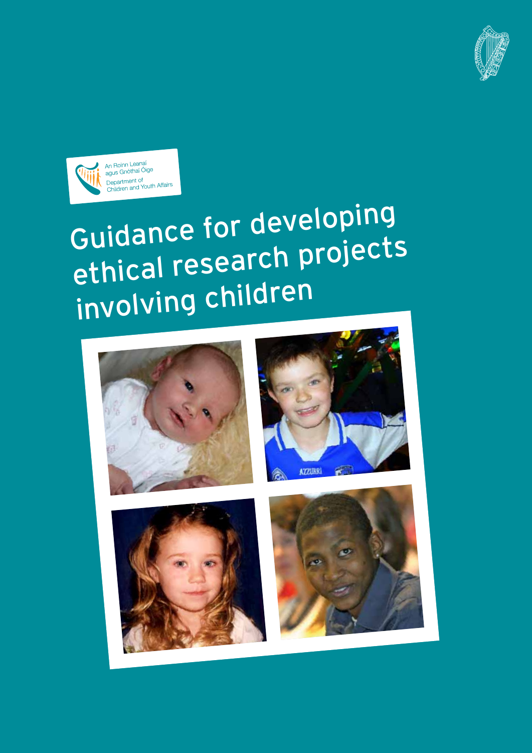



# Guidance for developing ethical research projects involving children







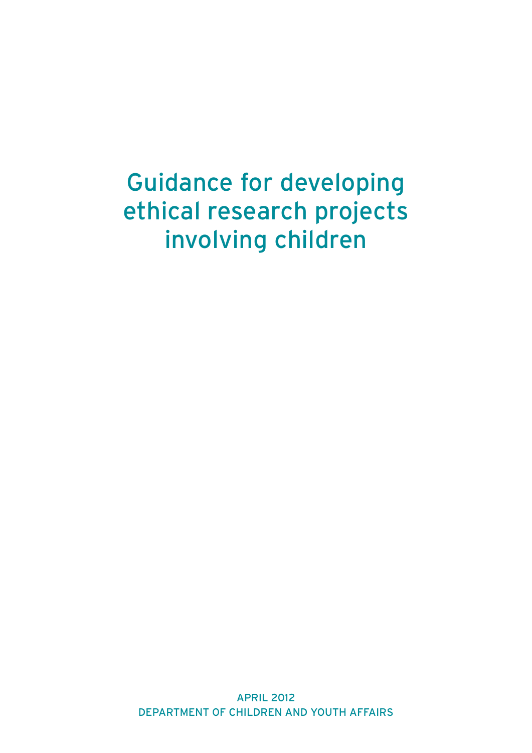# Guidance for developing ethical research projects involving children

APRIL 2012 DEPARTMENT OF CHILDREN AND YOUTH AFFAIRS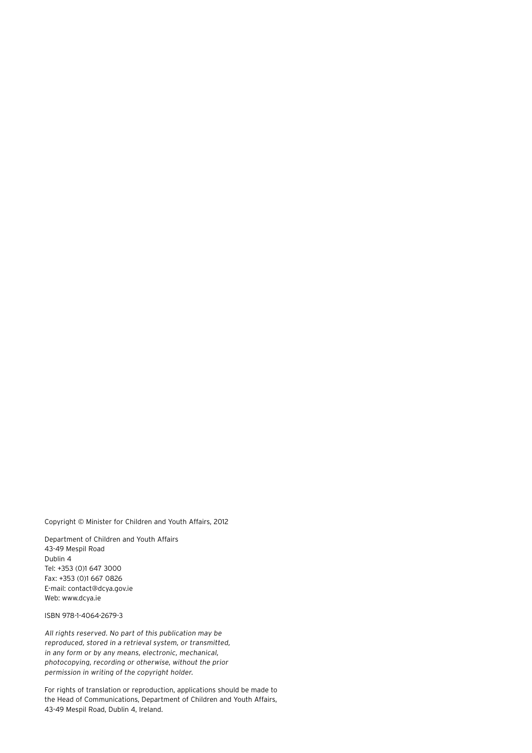Copyright © Minister for Children and Youth Affairs, 2012

Department of Children and Youth Affairs 43-49 Mespil Road Dublin 4 Tel: +353 (0)1 647 3000 Fax: +353 (0)1 667 0826 E-mail: contact@dcya.gov.ie Web: www.dcya.ie

ISBN 978-1-4064-2679-3

All rights reserved. No part of this publication may be reproduced, stored in a retrieval system, or transmitted, in any form or by any means, electronic, mechanical, photocopying, recording or otherwise, without the prior permission in writing of the copyright holder.

For rights of translation or reproduction, applications should be made to the Head of Communications, Department of Children and Youth Affairs, 43-49 Mespil Road, Dublin 4, Ireland.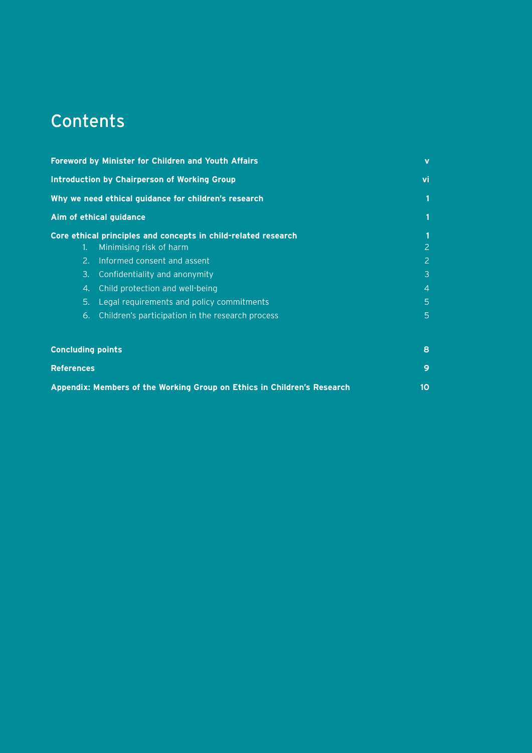# Contents

| <b>Foreword by Minister for Children and Youth Affairs</b><br><b>Introduction by Chairperson of Working Group</b><br>Why we need ethical guidance for children's research |                                                                                                                                                                                                                                                                                               | $\mathbf v$                             |
|---------------------------------------------------------------------------------------------------------------------------------------------------------------------------|-----------------------------------------------------------------------------------------------------------------------------------------------------------------------------------------------------------------------------------------------------------------------------------------------|-----------------------------------------|
|                                                                                                                                                                           |                                                                                                                                                                                                                                                                                               | vi                                      |
|                                                                                                                                                                           |                                                                                                                                                                                                                                                                                               |                                         |
| Aim of ethical guidance                                                                                                                                                   |                                                                                                                                                                                                                                                                                               |                                         |
| 1.<br>2.<br>3.<br>4.<br>5.<br>6.                                                                                                                                          | Core ethical principles and concepts in child-related research<br>Minimising risk of harm<br>Informed consent and assent<br>Confidentiality and anonymity<br>Child protection and well-being<br>Legal requirements and policy commitments<br>Children's participation in the research process | 2<br>2<br>3<br>$\overline{4}$<br>5<br>5 |
| <b>Concluding points</b>                                                                                                                                                  |                                                                                                                                                                                                                                                                                               | 8                                       |
| <b>References</b>                                                                                                                                                         |                                                                                                                                                                                                                                                                                               | 9                                       |

| Appendix: Members of the Working Group on Ethics in Children's Research |  |
|-------------------------------------------------------------------------|--|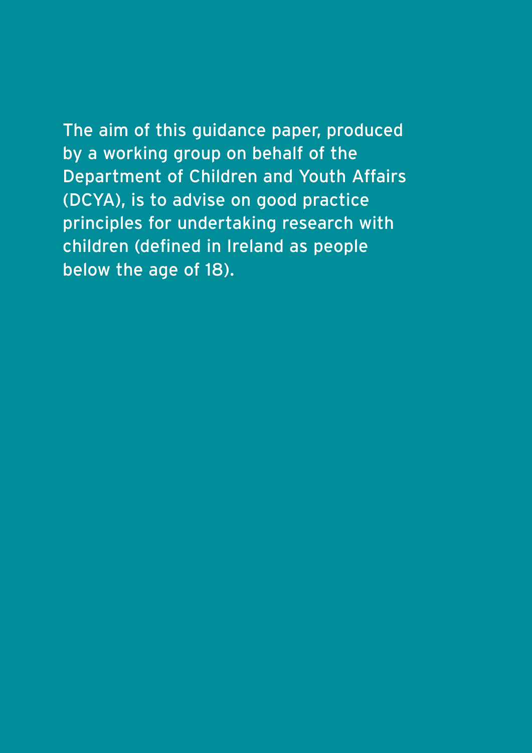The aim of this guidance paper, produced by a working group on behalf of the Department of Children and Youth Affairs (DCYA), is to advise on good practice principles for undertaking research with children (defined in Ireland as people below the age of 18).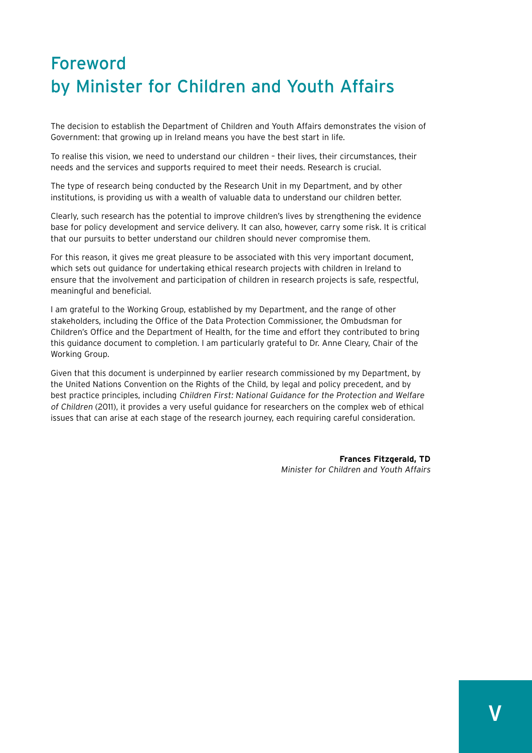## Foreword by Minister for Children and Youth Affairs

The decision to establish the Department of Children and Youth Affairs demonstrates the vision of Government: that growing up in Ireland means you have the best start in life.

To realise this vision, we need to understand our children – their lives, their circumstances, their needs and the services and supports required to meet their needs. Research is crucial.

The type of research being conducted by the Research Unit in my Department, and by other institutions, is providing us with a wealth of valuable data to understand our children better.

Clearly, such research has the potential to improve children's lives by strengthening the evidence base for policy development and service delivery. It can also, however, carry some risk. It is critical that our pursuits to better understand our children should never compromise them.

For this reason, it gives me great pleasure to be associated with this very important document, which sets out guidance for undertaking ethical research projects with children in Ireland to ensure that the involvement and participation of children in research projects is safe, respectful, meaningful and beneficial.

I am grateful to the Working Group, established by my Department, and the range of other stakeholders, including the Office of the Data Protection Commissioner, the Ombudsman for Children's Office and the Department of Health, for the time and effort they contributed to bring this guidance document to completion. I am particularly grateful to Dr. Anne Cleary, Chair of the Working Group.

Given that this document is underpinned by earlier research commissioned by my Department, by the United Nations Convention on the Rights of the Child, by legal and policy precedent, and by best practice principles, including Children First: National Guidance for the Protection and Welfare of Children (2011), it provides a very useful guidance for researchers on the complex web of ethical issues that can arise at each stage of the research journey, each requiring careful consideration.

> **Frances Fitzgerald, TD** Minister for Children and Youth Affairs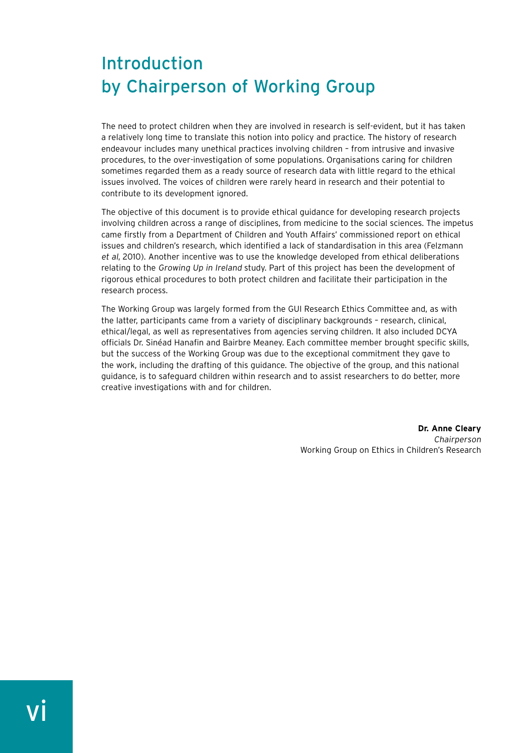### Introduction by Chairperson of Working Group

The need to protect children when they are involved in research is self-evident, but it has taken a relatively long time to translate this notion into policy and practice. The history of research endeavour includes many unethical practices involving children – from intrusive and invasive procedures, to the over-investigation of some populations. Organisations caring for children sometimes regarded them as a ready source of research data with little regard to the ethical issues involved. The voices of children were rarely heard in research and their potential to contribute to its development ignored.

The objective of this document is to provide ethical guidance for developing research projects involving children across a range of disciplines, from medicine to the social sciences. The impetus came firstly from a Department of Children and Youth Affairs' commissioned report on ethical issues and children's research, which identified a lack of standardisation in this area (Felzmann et al, 2010). Another incentive was to use the knowledge developed from ethical deliberations relating to the Growing Up in Ireland study. Part of this project has been the development of rigorous ethical procedures to both protect children and facilitate their participation in the research process.

The Working Group was largely formed from the GUI Research Ethics Committee and, as with the latter, participants came from a variety of disciplinary backgrounds – research, clinical, ethical/legal, as well as representatives from agencies serving children. It also included DCYA officials Dr. Sinéad Hanafin and Bairbre Meaney. Each committee member brought specific skills, but the success of the Working Group was due to the exceptional commitment they gave to the work, including the drafting of this guidance. The objective of the group, and this national guidance, is to safeguard children within research and to assist researchers to do better, more creative investigations with and for children.

> **Dr. Anne Cleary** Chairperson Working Group on Ethics in Children's Research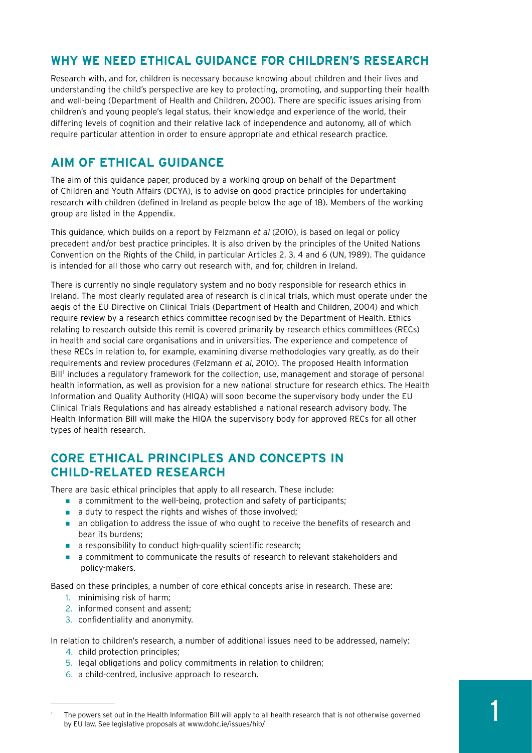#### **Why we need ethical guidance for children's research**

Research with, and for, children is necessary because knowing about children and their lives and understanding the child's perspective are key to protecting, promoting, and supporting their health and well-being (Department of Health and Children, 2000). There are specific issues arising from children's and young people's legal status, their knowledge and experience of the world, their differing levels of cognition and their relative lack of independence and autonomy, all of which require particular attention in order to ensure appropriate and ethical research practice.

#### **Aim of ethical guidance**

The aim of this guidance paper, produced by a working group on behalf of the Department of Children and Youth Affairs (DCYA), is to advise on good practice principles for undertaking research with children (defined in Ireland as people below the age of 18). Members of the working group are listed in the Appendix.

This guidance, which builds on a report by Felzmann et al (2010), is based on legal or policy precedent and/or best practice principles. It is also driven by the principles of the United Nations Convention on the Rights of the Child, in particular Articles 2, 3, 4 and 6 (UN, 1989). The guidance is intended for all those who carry out research with, and for, children in Ireland.

There is currently no single regulatory system and no body responsible for research ethics in Ireland. The most clearly regulated area of research is clinical trials, which must operate under the aegis of the EU Directive on Clinical Trials (Department of Health and Children, 2004) and which require review by a research ethics committee recognised by the Department of Health. Ethics relating to research outside this remit is covered primarily by research ethics committees (RECs) in health and social care organisations and in universities. The experience and competence of these RECs in relation to, for example, examining diverse methodologies vary greatly, as do their requirements and review procedures (Felzmann et al, 2010). The proposed Health Information Bill<sup>1</sup> includes a regulatory framework for the collection, use, management and storage of personal health information, as well as provision for a new national structure for research ethics. The Health Information and Quality Authority (HIQA) will soon become the supervisory body under the EU Clinical Trials Regulations and has already established a national research advisory body. The Health Information Bill will make the HIQA the supervisory body for approved RECs for all other types of health research.

#### **Core ethical principles and concepts in child-related research**

There are basic ethical principles that apply to all research. These include:

- a commitment to the well-being, protection and safety of participants;
- a duty to respect the rights and wishes of those involved;
- an obligation to address the issue of who ought to receive the benefits of research and bear its burdens;
- a responsibility to conduct high-quality scientific research;
- a commitment to communicate the results of research to relevant stakeholders and policy-makers.

Based on these principles, a number of core ethical concepts arise in research. These are:

- 1. minimising risk of harm;
- 2. informed consent and assent;
- 3. confidentiality and anonymity.

In relation to children's research, a number of additional issues need to be addressed, namely:

- 4. child protection principles;
- 5. legal obligations and policy commitments in relation to children;
- 6. a child-centred, inclusive approach to research.

<sup>1</sup> The powers set out in the Health Information Bill will apply to all health research that is not otherwise governed by EU law. See legislative proposals at www.dohc.ie/issues/hib/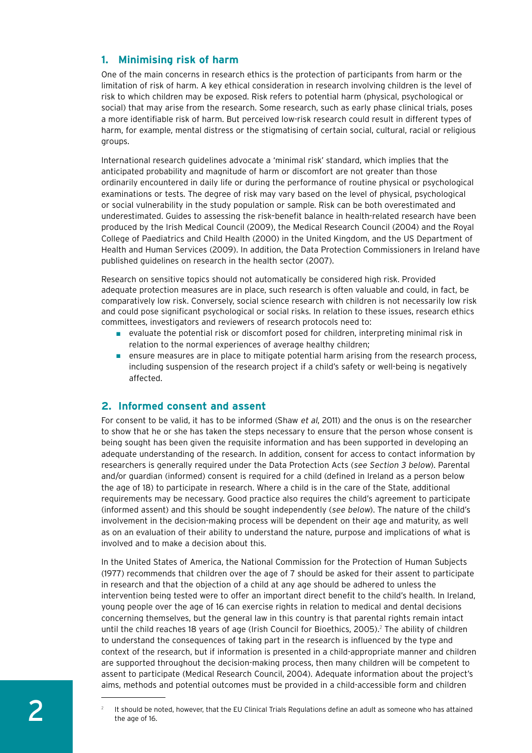#### **1. Minimising risk of harm**

One of the main concerns in research ethics is the protection of participants from harm or the limitation of risk of harm. A key ethical consideration in research involving children is the level of risk to which children may be exposed. Risk refers to potential harm (physical, psychological or social) that may arise from the research. Some research, such as early phase clinical trials, poses a more identifiable risk of harm. But perceived low-risk research could result in different types of harm, for example, mental distress or the stigmatising of certain social, cultural, racial or religious groups.

International research guidelines advocate a 'minimal risk' standard, which implies that the anticipated probability and magnitude of harm or discomfort are not greater than those ordinarily encountered in daily life or during the performance of routine physical or psychological examinations or tests. The degree of risk may vary based on the level of physical, psychological or social vulnerability in the study population or sample. Risk can be both overestimated and underestimated. Guides to assessing the risk–benefit balance in health-related research have been produced by the Irish Medical Council (2009), the Medical Research Council (2004) and the Royal College of Paediatrics and Child Health (2000) in the United Kingdom, and the US Department of Health and Human Services (2009). In addition, the Data Protection Commissioners in Ireland have published guidelines on research in the health sector (2007).

Research on sensitive topics should not automatically be considered high risk. Provided adequate protection measures are in place, such research is often valuable and could, in fact, be comparatively low risk. Conversely, social science research with children is not necessarily low risk and could pose significant psychological or social risks. In relation to these issues, research ethics committees, investigators and reviewers of research protocols need to:

- evaluate the potential risk or discomfort posed for children, interpreting minimal risk in relation to the normal experiences of average healthy children;
- ensure measures are in place to mitigate potential harm arising from the research process, including suspension of the research project if a child's safety or well-being is negatively affected.

#### **2. Informed consent and assent**

For consent to be valid, it has to be informed (Shaw et al, 2011) and the onus is on the researcher to show that he or she has taken the steps necessary to ensure that the person whose consent is being sought has been given the requisite information and has been supported in developing an adequate understanding of the research. In addition, consent for access to contact information by researchers is generally required under the Data Protection Acts (see Section 3 below). Parental and/or guardian (informed) consent is required for a child (defined in Ireland as a person below the age of 18) to participate in research. Where a child is in the care of the State, additional requirements may be necessary. Good practice also requires the child's agreement to participate (informed assent) and this should be sought independently (see below). The nature of the child's involvement in the decision-making process will be dependent on their age and maturity, as well as on an evaluation of their ability to understand the nature, purpose and implications of what is involved and to make a decision about this.

In the United States of America, the National Commission for the Protection of Human Subjects (1977) recommends that children over the age of 7 should be asked for their assent to participate in research and that the objection of a child at any age should be adhered to unless the intervention being tested were to offer an important direct benefit to the child's health. In Ireland, young people over the age of 16 can exercise rights in relation to medical and dental decisions concerning themselves, but the general law in this country is that parental rights remain intact until the child reaches 18 years of age (Irish Council for Bioethics, 2005).<sup>2</sup> The ability of children to understand the consequences of taking part in the research is influenced by the type and context of the research, but if information is presented in a child-appropriate manner and children are supported throughout the decision-making process, then many children will be competent to assent to participate (Medical Research Council, 2004). Adequate information about the project's aims, methods and potential outcomes must be provided in a child-accessible form and children

<sup>2</sup> It should be noted, however, that the EU Clinical Trials Regulations define an adult as someone who has attained the age of 16.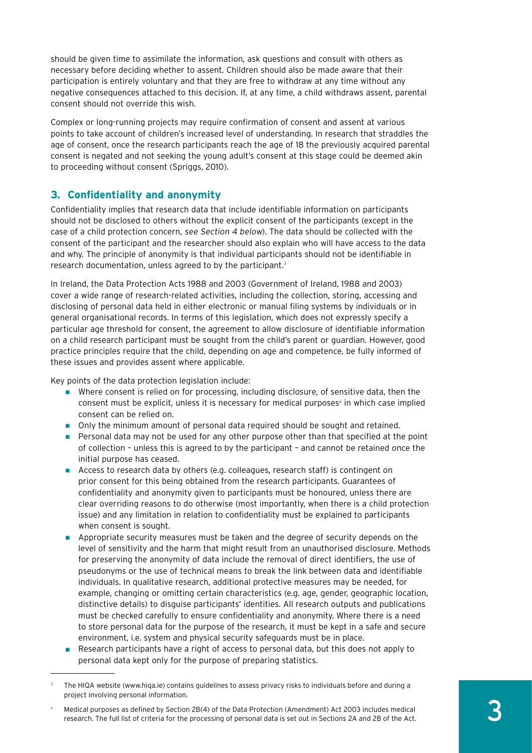should be given time to assimilate the information, ask questions and consult with others as necessary before deciding whether to assent. Children should also be made aware that their participation is entirely voluntary and that they are free to withdraw at any time without any negative consequences attached to this decision. If, at any time, a child withdraws assent, parental consent should not override this wish.

Complex or long-running projects may require confirmation of consent and assent at various points to take account of children's increased level of understanding. In research that straddles the age of consent, once the research participants reach the age of 18 the previously acquired parental consent is negated and not seeking the young adult's consent at this stage could be deemed akin to proceeding without consent (Spriggs, 2010).

#### **3. Confidentiality and anonymity**

Confidentiality implies that research data that include identifiable information on participants should not be disclosed to others without the explicit consent of the participants (except in the case of a child protection concern, see Section 4 below). The data should be collected with the consent of the participant and the researcher should also explain who will have access to the data and why. The principle of anonymity is that individual participants should not be identifiable in research documentation, unless agreed to by the participant.<sup>3</sup>

In Ireland, the Data Protection Acts 1988 and 2003 (Government of Ireland, 1988 and 2003) cover a wide range of research-related activities, including the collection, storing, accessing and disclosing of personal data held in either electronic or manual filing systems by individuals or in general organisational records. In terms of this legislation, which does not expressly specify a particular age threshold for consent, the agreement to allow disclosure of identifiable information on a child research participant must be sought from the child's parent or guardian. However, good practice principles require that the child, depending on age and competence, be fully informed of these issues and provides assent where applicable.

Key points of the data protection legislation include:

- Where consent is relied on for processing, including disclosure, of sensitive data, then the consent must be explicit, unless it is necessary for medical purposes<sup>4</sup> in which case implied consent can be relied on.
- Only the minimum amount of personal data required should be sought and retained.
- Personal data may not be used for any other purpose other than that specified at the point of collection – unless this is agreed to by the participant – and cannot be retained once the initial purpose has ceased.
- Access to research data by others (e.g. colleagues, research staff) is contingent on prior consent for this being obtained from the research participants. Guarantees of confidentiality and anonymity given to participants must be honoured, unless there are clear overriding reasons to do otherwise (most importantly, when there is a child protection issue) and any limitation in relation to confidentiality must be explained to participants when consent is sought.
- Appropriate security measures must be taken and the degree of security depends on the level of sensitivity and the harm that might result from an unauthorised disclosure. Methods for preserving the anonymity of data include the removal of direct identifiers, the use of pseudonyms or the use of technical means to break the link between data and identifiable individuals. In qualitative research, additional protective measures may be needed, for example, changing or omitting certain characteristics (e.g. age, gender, geographic location, distinctive details) to disguise participants' identities. All research outputs and publications must be checked carefully to ensure confidentiality and anonymity. Where there is a need to store personal data for the purpose of the research, it must be kept in a safe and secure environment, i.e. system and physical security safeguards must be in place.
- Research participants have a right of access to personal data, but this does not apply to personal data kept only for the purpose of preparing statistics.

<sup>3</sup> The HIQA website (www.hiqa.ie) contains guidelines to assess privacy risks to individuals before and during a project involving personal information.

<sup>4</sup> Medical purposes as defined by Section 2B(4) of the Data Protection (Amendment) Act 2003 includes medical research. The full list of criteria for the processing of personal data is set out in Sections 2A and 2B of the Act.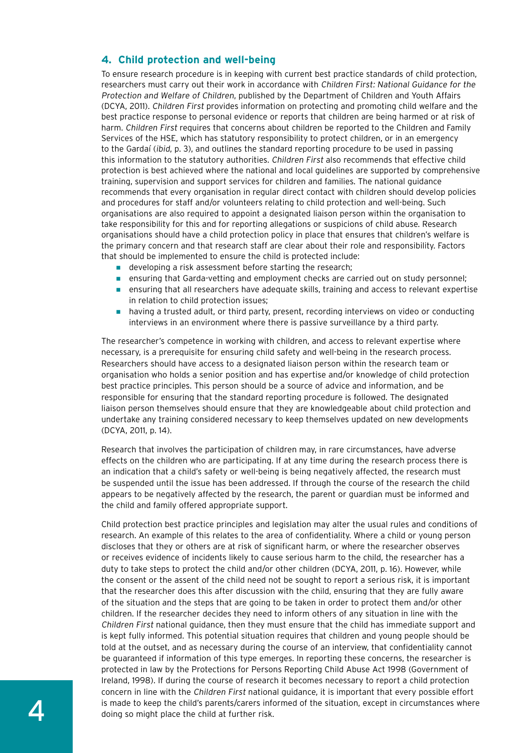#### **4. Child protection and well-being**

To ensure research procedure is in keeping with current best practice standards of child protection, researchers must carry out their work in accordance with Children First: National Guidance for the Protection and Welfare of Children, published by the Department of Children and Youth Affairs (DCYA, 2011). Children First provides information on protecting and promoting child welfare and the best practice response to personal evidence or reports that children are being harmed or at risk of harm. Children First requires that concerns about children be reported to the Children and Family Services of the HSE, which has statutory responsibility to protect children, or in an emergency to the Gardaí (ibid, p. 3), and outlines the standard reporting procedure to be used in passing this information to the statutory authorities. Children First also recommends that effective child protection is best achieved where the national and local guidelines are supported by comprehensive training, supervision and support services for children and families. The national guidance recommends that every organisation in regular direct contact with children should develop policies and procedures for staff and/or volunteers relating to child protection and well-being. Such organisations are also required to appoint a designated liaison person within the organisation to take responsibility for this and for reporting allegations or suspicions of child abuse. Research organisations should have a child protection policy in place that ensures that children's welfare is the primary concern and that research staff are clear about their role and responsibility. Factors that should be implemented to ensure the child is protected include:

- developing a risk assessment before starting the research;
- ensuring that Garda-vetting and employment checks are carried out on study personnel;
- ensuring that all researchers have adequate skills, training and access to relevant expertise in relation to child protection issues;
- having a trusted adult, or third party, present, recording interviews on video or conducting interviews in an environment where there is passive surveillance by a third party.

The researcher's competence in working with children, and access to relevant expertise where necessary, is a prerequisite for ensuring child safety and well-being in the research process. Researchers should have access to a designated liaison person within the research team or organisation who holds a senior position and has expertise and/or knowledge of child protection best practice principles. This person should be a source of advice and information, and be responsible for ensuring that the standard reporting procedure is followed. The designated liaison person themselves should ensure that they are knowledgeable about child protection and undertake any training considered necessary to keep themselves updated on new developments (DCYA, 2011, p. 14).

Research that involves the participation of children may, in rare circumstances, have adverse effects on the children who are participating. If at any time during the research process there is an indication that a child's safety or well-being is being negatively affected, the research must be suspended until the issue has been addressed. If through the course of the research the child appears to be negatively affected by the research, the parent or guardian must be informed and the child and family offered appropriate support.

Child protection best practice principles and legislation may alter the usual rules and conditions of research. An example of this relates to the area of confidentiality. Where a child or young person discloses that they or others are at risk of significant harm, or where the researcher observes or receives evidence of incidents likely to cause serious harm to the child, the researcher has a duty to take steps to protect the child and/or other children (DCYA, 2011, p. 16). However, while the consent or the assent of the child need not be sought to report a serious risk, it is important that the researcher does this after discussion with the child, ensuring that they are fully aware of the situation and the steps that are going to be taken in order to protect them and/or other children. If the researcher decides they need to inform others of any situation in line with the Children First national guidance, then they must ensure that the child has immediate support and is kept fully informed. This potential situation requires that children and young people should be told at the outset, and as necessary during the course of an interview, that confidentiality cannot be guaranteed if information of this type emerges. In reporting these concerns, the researcher is protected in law by the Protections for Persons Reporting Child Abuse Act 1998 (Government of Ireland, 1998). If during the course of research it becomes necessary to report a child protection concern in line with the Children First national guidance, it is important that every possible effort is made to keep the child's parents/carers informed of the situation, except in circumstances where doing so might place the child at further risk.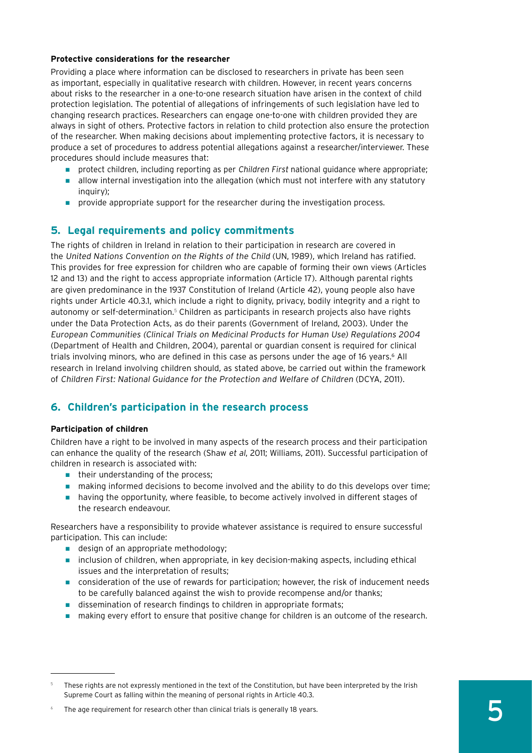#### **Protective considerations for the researcher**

Providing a place where information can be disclosed to researchers in private has been seen as important, especially in qualitative research with children. However, in recent years concerns about risks to the researcher in a one-to-one research situation have arisen in the context of child protection legislation. The potential of allegations of infringements of such legislation have led to changing research practices. Researchers can engage one-to-one with children provided they are always in sight of others. Protective factors in relation to child protection also ensure the protection of the researcher. When making decisions about implementing protective factors, it is necessary to produce a set of procedures to address potential allegations against a researcher/interviewer. These procedures should include measures that:

- protect children, including reporting as per Children First national guidance where appropriate;
- allow internal investigation into the allegation (which must not interfere with any statutory inquiry);
- provide appropriate support for the researcher during the investigation process.

#### **5. Legal requirements and policy commitments**

The rights of children in Ireland in relation to their participation in research are covered in the United Nations Convention on the Rights of the Child (UN, 1989), which Ireland has ratified. This provides for free expression for children who are capable of forming their own views (Articles 12 and 13) and the right to access appropriate information (Article 17). Although parental rights are given predominance in the 1937 Constitution of Ireland (Article 42), young people also have rights under Article 40.3.1, which include a right to dignity, privacy, bodily integrity and a right to autonomy or self-determination.<sup>5</sup> Children as participants in research projects also have rights under the Data Protection Acts, as do their parents (Government of Ireland, 2003). Under the European Communities (Clinical Trials on Medicinal Products for Human Use) Regulations 2004 (Department of Health and Children, 2004), parental or guardian consent is required for clinical trials involving minors, who are defined in this case as persons under the age of 16 years.<sup>6</sup> All research in Ireland involving children should, as stated above, be carried out within the framework of Children First: National Guidance for the Protection and Welfare of Children (DCYA, 2011).

#### **6. Children's participation in the research process**

#### **Participation of children**

Children have a right to be involved in many aspects of the research process and their participation can enhance the quality of the research (Shaw et al, 2011; Williams, 2011). Successful participation of children in research is associated with:

- their understanding of the process;
- making informed decisions to become involved and the ability to do this develops over time;
- having the opportunity, where feasible, to become actively involved in different stages of the research endeavour.

Researchers have a responsibility to provide whatever assistance is required to ensure successful participation. This can include:

- design of an appropriate methodology;
- inclusion of children, when appropriate, in key decision-making aspects, including ethical issues and the interpretation of results;
- consideration of the use of rewards for participation; however, the risk of inducement needs to be carefully balanced against the wish to provide recompense and/or thanks;
- dissemination of research findings to children in appropriate formats;
- making every effort to ensure that positive change for children is an outcome of the research.

These rights are not expressly mentioned in the text of the Constitution, but have been interpreted by the Irish Supreme Court as falling within the meaning of personal rights in Article 40.3.

The age requirement for research other than clinical trials is generally 18 years.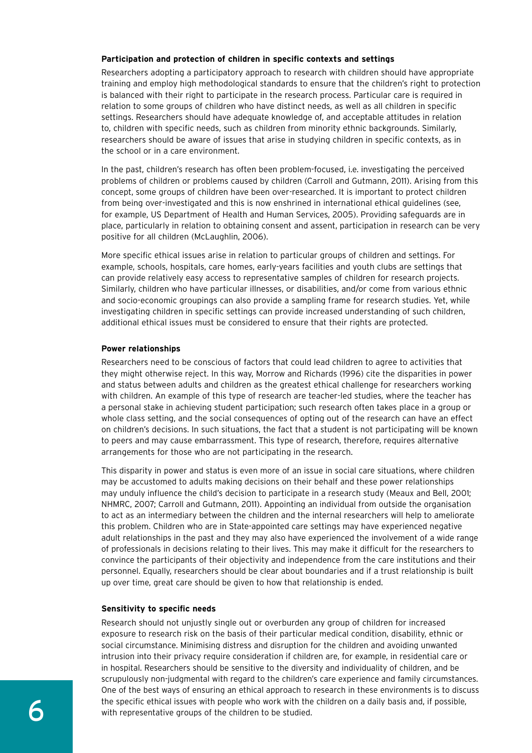#### **Participation and protection of children in specific contexts and settings**

Researchers adopting a participatory approach to research with children should have appropriate training and employ high methodological standards to ensure that the children's right to protection is balanced with their right to participate in the research process. Particular care is required in relation to some groups of children who have distinct needs, as well as all children in specific settings. Researchers should have adequate knowledge of, and acceptable attitudes in relation to, children with specific needs, such as children from minority ethnic backgrounds. Similarly, researchers should be aware of issues that arise in studying children in specific contexts, as in the school or in a care environment.

In the past, children's research has often been problem-focused, i.e. investigating the perceived problems of children or problems caused by children (Carroll and Gutmann, 2011). Arising from this concept, some groups of children have been over-researched. It is important to protect children from being over-investigated and this is now enshrined in international ethical guidelines (see, for example, US Department of Health and Human Services, 2005). Providing safeguards are in place, particularly in relation to obtaining consent and assent, participation in research can be very positive for all children (McLaughlin, 2006).

More specific ethical issues arise in relation to particular groups of children and settings. For example, schools, hospitals, care homes, early-years facilities and youth clubs are settings that can provide relatively easy access to representative samples of children for research projects. Similarly, children who have particular illnesses, or disabilities, and/or come from various ethnic and socio-economic groupings can also provide a sampling frame for research studies. Yet, while investigating children in specific settings can provide increased understanding of such children, additional ethical issues must be considered to ensure that their rights are protected.

#### **Power relationships**

Researchers need to be conscious of factors that could lead children to agree to activities that they might otherwise reject. In this way, Morrow and Richards (1996) cite the disparities in power and status between adults and children as the greatest ethical challenge for researchers working with children. An example of this type of research are teacher-led studies, where the teacher has a personal stake in achieving student participation; such research often takes place in a group or whole class setting, and the social consequences of opting out of the research can have an effect on children's decisions. In such situations, the fact that a student is not participating will be known to peers and may cause embarrassment. This type of research, therefore, requires alternative arrangements for those who are not participating in the research.

This disparity in power and status is even more of an issue in social care situations, where children may be accustomed to adults making decisions on their behalf and these power relationships may unduly influence the child's decision to participate in a research study (Meaux and Bell, 2001; NHMRC, 2007; Carroll and Gutmann, 2011). Appointing an individual from outside the organisation to act as an intermediary between the children and the internal researchers will help to ameliorate this problem. Children who are in State-appointed care settings may have experienced negative adult relationships in the past and they may also have experienced the involvement of a wide range of professionals in decisions relating to their lives. This may make it difficult for the researchers to convince the participants of their objectivity and independence from the care institutions and their personnel. Equally, researchers should be clear about boundaries and if a trust relationship is built up over time, great care should be given to how that relationship is ended.

#### **Sensitivity to specific needs**

Research should not unjustly single out or overburden any group of children for increased exposure to research risk on the basis of their particular medical condition, disability, ethnic or social circumstance. Minimising distress and disruption for the children and avoiding unwanted intrusion into their privacy require consideration if children are, for example, in residential care or in hospital. Researchers should be sensitive to the diversity and individuality of children, and be scrupulously non-judgmental with regard to the children's care experience and family circumstances. One of the best ways of ensuring an ethical approach to research in these environments is to discuss the specific ethical issues with people who work with the children on a daily basis and, if possible, with representative groups of the children to be studied.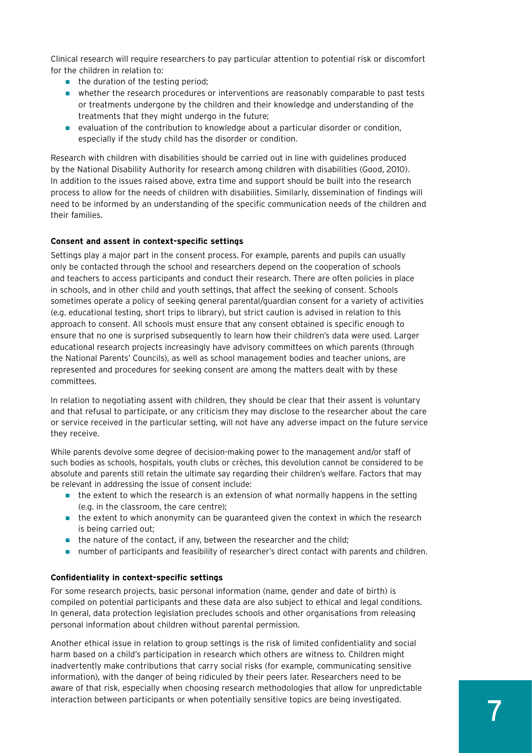Clinical research will require researchers to pay particular attention to potential risk or discomfort for the children in relation to:

- the duration of the testing period;
- whether the research procedures or interventions are reasonably comparable to past tests or treatments undergone by the children and their knowledge and understanding of the treatments that they might undergo in the future;
- evaluation of the contribution to knowledge about a particular disorder or condition, especially if the study child has the disorder or condition.

Research with children with disabilities should be carried out in line with guidelines produced by the National Disability Authority for research among children with disabilities (Good, 2010). In addition to the issues raised above, extra time and support should be built into the research process to allow for the needs of children with disabilities. Similarly, dissemination of findings will need to be informed by an understanding of the specific communication needs of the children and their families.

#### **Consent and assent in context-specific settings**

Settings play a major part in the consent process. For example, parents and pupils can usually only be contacted through the school and researchers depend on the cooperation of schools and teachers to access participants and conduct their research. There are often policies in place in schools, and in other child and youth settings, that affect the seeking of consent. Schools sometimes operate a policy of seeking general parental/guardian consent for a variety of activities (e.g. educational testing, short trips to library), but strict caution is advised in relation to this approach to consent. All schools must ensure that any consent obtained is specific enough to ensure that no one is surprised subsequently to learn how their children's data were used. Larger educational research projects increasingly have advisory committees on which parents (through the National Parents' Councils), as well as school management bodies and teacher unions, are represented and procedures for seeking consent are among the matters dealt with by these committees.

In relation to negotiating assent with children, they should be clear that their assent is voluntary and that refusal to participate, or any criticism they may disclose to the researcher about the care or service received in the particular setting, will not have any adverse impact on the future service they receive.

While parents devolve some degree of decision-making power to the management and/or staff of such bodies as schools, hospitals, youth clubs or crèches, this devolution cannot be considered to be absolute and parents still retain the ultimate say regarding their children's welfare. Factors that may be relevant in addressing the issue of consent include:

- the extent to which the research is an extension of what normally happens in the setting (e.g. in the classroom, the care centre);
- the extent to which anonymity can be guaranteed given the context in which the research is being carried out;
- the nature of the contact, if any, between the researcher and the child;
- number of participants and feasibility of researcher's direct contact with parents and children.

#### **Confidentiality in context-specific settings**

For some research projects, basic personal information (name, gender and date of birth) is compiled on potential participants and these data are also subject to ethical and legal conditions. In general, data protection legislation precludes schools and other organisations from releasing personal information about children without parental permission.

Another ethical issue in relation to group settings is the risk of limited confidentiality and social harm based on a child's participation in research which others are witness to. Children might inadvertently make contributions that carry social risks (for example, communicating sensitive information), with the danger of being ridiculed by their peers later. Researchers need to be aware of that risk, especially when choosing research methodologies that allow for unpredictable interaction between participants or when potentially sensitive topics are being investigated.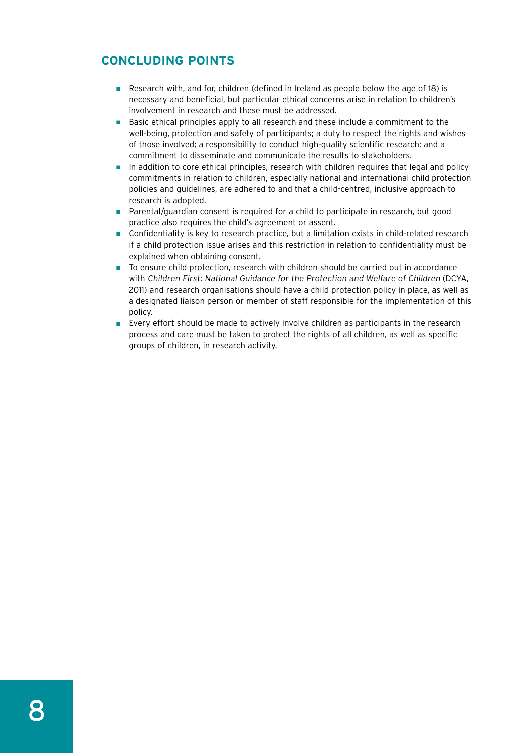#### **Concluding points**

- Research with, and for, children (defined in Ireland as people below the age of 18) is necessary and beneficial, but particular ethical concerns arise in relation to children's involvement in research and these must be addressed.
- Basic ethical principles apply to all research and these include a commitment to the well-being, protection and safety of participants; a duty to respect the rights and wishes of those involved; a responsibility to conduct high-quality scientific research; and a commitment to disseminate and communicate the results to stakeholders.
- In addition to core ethical principles, research with children requires that legal and policy commitments in relation to children, especially national and international child protection policies and guidelines, are adhered to and that a child-centred, inclusive approach to research is adopted.
- Parental/guardian consent is required for a child to participate in research, but good practice also requires the child's agreement or assent.
- Confidentiality is key to research practice, but a limitation exists in child-related research if a child protection issue arises and this restriction in relation to confidentiality must be explained when obtaining consent.
- To ensure child protection, research with children should be carried out in accordance with Children First: National Guidance for the Protection and Welfare of Children (DCYA, 2011) and research organisations should have a child protection policy in place, as well as a designated liaison person or member of staff responsible for the implementation of this policy.
- Every effort should be made to actively involve children as participants in the research process and care must be taken to protect the rights of all children, as well as specific groups of children, in research activity.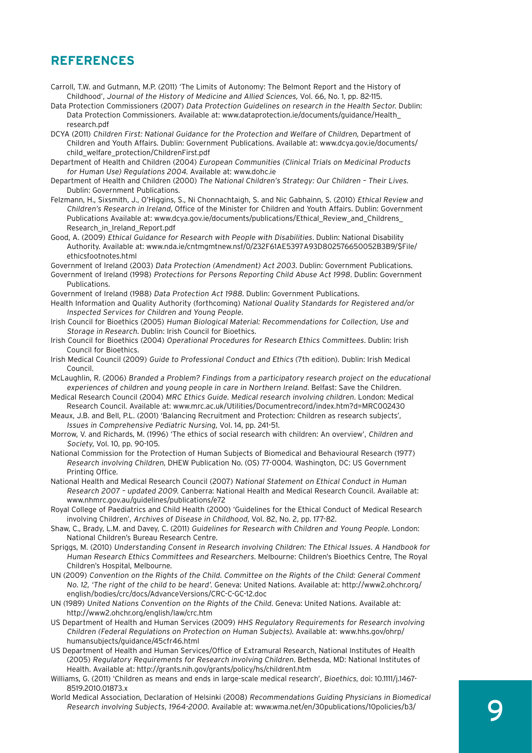#### **References**

- Carroll, T.W. and Gutmann, M.P. (2011) 'The Limits of Autonomy: The Belmont Report and the History of Childhood', Journal of the History of Medicine and Allied Sciences, Vol. 66, No. 1, pp. 82-115.
- Data Protection Commissioners (2007) Data Protection Guidelines on research in the Health Sector. Dublin: Data Protection Commissioners. Available at: www.dataprotection.ie/documents/guidance/Health\_ research.pdf
- DCYA (2011) Children First: National Guidance for the Protection and Welfare of Children, Department of Children and Youth Affairs. Dublin: Government Publications. Available at: www.dcya.gov.ie/documents/ child\_welfare\_protection/ChildrenFirst.pdf
- Department of Health and Children (2004) European Communities (Clinical Trials on Medicinal Products for Human Use) Regulations 2004. Available at: www.dohc.ie
- Department of Health and Children (2000) The National Children's Strategy: Our Children Their Lives. Dublin: Government Publications.
- Felzmann, H., Sixsmith, J., O'Higgins, S., Ni Chonnachtaigh, S. and Nic Gabhainn, S. (2010) Ethical Review and Children's Research in Ireland, Office of the Minister for Children and Youth Affairs. Dublin: Government Publications Available at: www.dcya.gov.ie/documents/publications/Ethical\_Review\_and\_Childrens\_ Research\_in\_Ireland\_Report.pdf
- Good, A. (2009) Ethical Guidance for Research with People with Disabilities. Dublin: National Disability Authority. Available at: www.nda.ie/cntmgmtnew.nsf/0/232F61AE5397A93D802576650052B3B9/\$File/ ethicsfootnotes.html

Government of Ireland (2003) Data Protection (Amendment) Act 2003. Dublin: Government Publications.

- Government of Ireland (1998) Protections for Persons Reporting Child Abuse Act 1998. Dublin: Government Publications.
- Government of Ireland (1988) Data Protection Act 1988. Dublin: Government Publications.
- Health Information and Quality Authority (forthcoming) National Quality Standards for Registered and/or Inspected Services for Children and Young People.
- Irish Council for Bioethics (2005) Human Biological Material: Recommendations for Collection, Use and Storage in Research. Dublin: Irish Council for Bioethics.
- Irish Council for Bioethics (2004) Operational Procedures for Research Ethics Committees. Dublin: Irish Council for Bioethics.
- Irish Medical Council (2009) Guide to Professional Conduct and Ethics (7th edition). Dublin: Irish Medical Council.
- McLaughlin, R. (2006) Branded a Problem? Findings from a participatory research project on the educational experiences of children and young people in care in Northern Ireland. Belfast: Save the Children.
- Medical Research Council (2004) MRC Ethics Guide. Medical research involving children. London: Medical Research Council. Available at: www.mrc.ac.uk/Utilities/Documentrecord/index.htm?d=MRC002430
- Meaux, J.B. and Bell, P.L. (2001) 'Balancing Recruitment and Protection: Children as research subjects', Issues in Comprehensive Pediatric Nursing, Vol. 14, pp. 241-51.
- Morrow, V. and Richards, M. (1996) 'The ethics of social research with children: An overview', Children and Society, Vol. 10, pp. 90-105.
- National Commission for the Protection of Human Subjects of Biomedical and Behavioural Research (1977) Research involving Children, DHEW Publication No. (OS) 77-0004. Washington, DC: US Government Printing Office.
- National Health and Medical Research Council (2007) National Statement on Ethical Conduct in Human Research 2007 – updated 2009. Canberra: National Health and Medical Research Council. Available at: www.nhmrc.gov.au/guidelines/publications/e72
- Royal College of Paediatrics and Child Health (2000) 'Guidelines for the Ethical Conduct of Medical Research involving Children', Archives of Disease in Childhood, Vol. 82, No. 2, pp. 177-82.
- Shaw, C., Brady, L.M. and Davey, C. (2011) Guidelines for Research with Children and Young People. London: National Children's Bureau Research Centre.
- Spriggs, M. (2010) Understanding Consent in Research involving Children: The Ethical Issues. A Handbook for Human Research Ethics Committees and Researchers. Melbourne: Children's Bioethics Centre, The Royal Children's Hospital, Melbourne.
- UN (2009) Convention on the Rights of the Child. Committee on the Rights of the Child: General Comment No. 12, 'The right of the child to be heard'. Geneva: United Nations. Available at: http://www2.ohchr.org/ english/bodies/crc/docs/AdvanceVersions/CRC-C-GC-12.doc
- UN (1989) United Nations Convention on the Rights of the Child. Geneva: United Nations. Available at: http://www2.ohchr.org/english/law/crc.htm
- US Department of Health and Human Services (2009) HHS Regulatory Requirements for Research involving Children (Federal Regulations on Protection on Human Subjects). Available at: www.hhs.gov/ohrp/ humansubjects/guidance/45cfr46.html
- US Department of Health and Human Services/Office of Extramural Research, National Institutes of Health (2005) Regulatory Requirements for Research involving Children. Bethesda, MD: National Institutes of Health. Available at: http://grants.nih.gov/grants/policy/hs/children1.htm
- Williams, G. (2011) 'Children as means and ends in large-scale medical research', Bioethics, doi: 10.1111/j.1467- 8519.2010.01873.x
- World Medical Association, Declaration of Helsinki (2008) Recommendations Guiding Physicians in Biomedical Research involving Subjects, 1964-2000. Available at: www.wma.net/en/30publications/10policies/b3/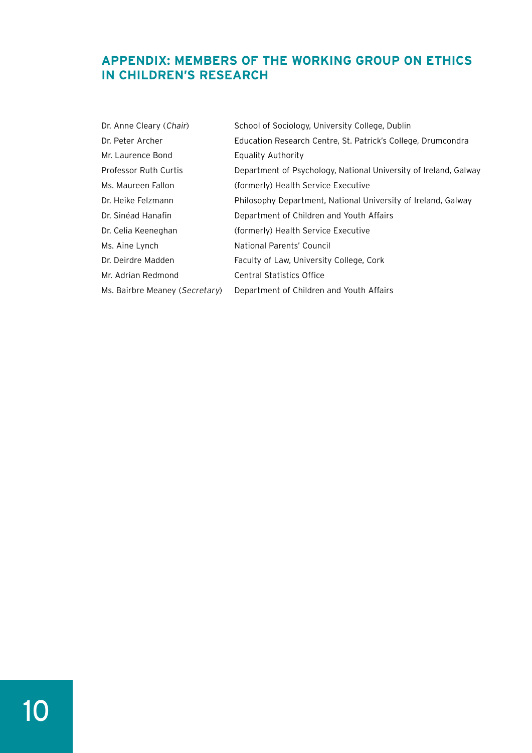#### **Appendix: Members of the Working Group on Ethics in Children's Research**

| Dr. Anne Cleary (Chair)        | School of Sociology, University College, Dublin                  |
|--------------------------------|------------------------------------------------------------------|
| Dr. Peter Archer               | Education Research Centre, St. Patrick's College, Drumcondra     |
| Mr. Laurence Bond              | Equality Authority                                               |
| Professor Ruth Curtis          | Department of Psychology, National University of Ireland, Galway |
| Ms. Maureen Fallon             | (formerly) Health Service Executive                              |
| Dr. Heike Felzmann             | Philosophy Department, National University of Ireland, Galway    |
| Dr. Sinéad Hanafin             | Department of Children and Youth Affairs                         |
| Dr. Celia Keeneghan            | (formerly) Health Service Executive                              |
| Ms. Aine Lynch                 | National Parents' Council                                        |
| Dr. Deirdre Madden             | Faculty of Law, University College, Cork                         |
| Mr. Adrian Redmond             | Central Statistics Office                                        |
| Ms. Bairbre Meaney (Secretary) | Department of Children and Youth Affairs                         |